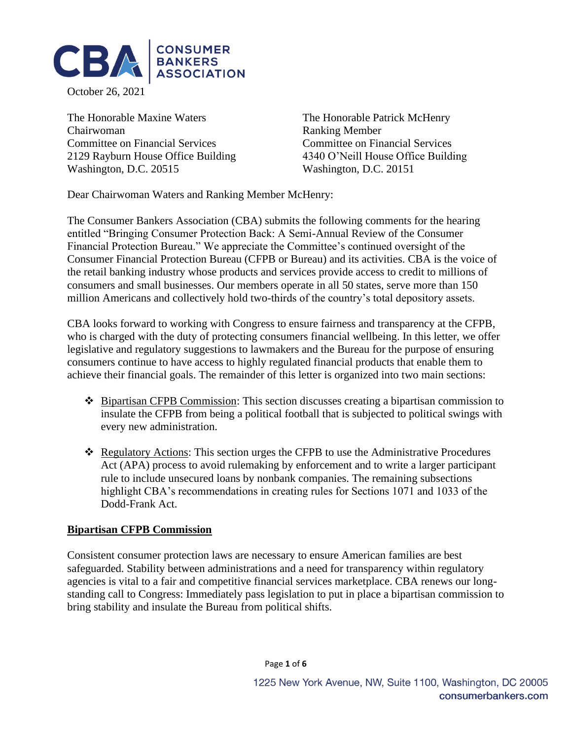

October 26, 2021

The Honorable Maxine Waters The Honorable Patrick McHenry Chairwoman Ranking Member Committee on Financial Services Committee on Financial Services 2129 Rayburn House Office Building 4340 O'Neill House Office Building Washington, D.C. 20515 Washington, D.C. 20151

Dear Chairwoman Waters and Ranking Member McHenry:

The Consumer Bankers Association (CBA) submits the following comments for the hearing entitled "Bringing Consumer Protection Back: A Semi-Annual Review of the Consumer Financial Protection Bureau." We appreciate the Committee's continued oversight of the Consumer Financial Protection Bureau (CFPB or Bureau) and its activities. CBA is the voice of the retail banking industry whose products and services provide access to credit to millions of consumers and small businesses. Our members operate in all 50 states, serve more than 150 million Americans and collectively hold two-thirds of the country's total depository assets.

CBA looks forward to working with Congress to ensure fairness and transparency at the CFPB, who is charged with the duty of protecting consumers financial wellbeing. In this letter, we offer legislative and regulatory suggestions to lawmakers and the Bureau for the purpose of ensuring consumers continue to have access to highly regulated financial products that enable them to achieve their financial goals. The remainder of this letter is organized into two main sections:

- ❖ Bipartisan CFPB Commission: This section discusses creating a bipartisan commission to insulate the CFPB from being a political football that is subjected to political swings with every new administration.
- ❖ Regulatory Actions: This section urges the CFPB to use the Administrative Procedures Act (APA) process to avoid rulemaking by enforcement and to write a larger participant rule to include unsecured loans by nonbank companies. The remaining subsections highlight CBA's recommendations in creating rules for Sections 1071 and 1033 of the Dodd-Frank Act.

### **Bipartisan CFPB Commission**

Consistent consumer protection laws are necessary to ensure American families are best safeguarded. Stability between administrations and a need for transparency within regulatory agencies is vital to a fair and competitive financial services marketplace. CBA renews our longstanding call to Congress: Immediately pass legislation to put in place a bipartisan commission to bring stability and insulate the Bureau from political shifts.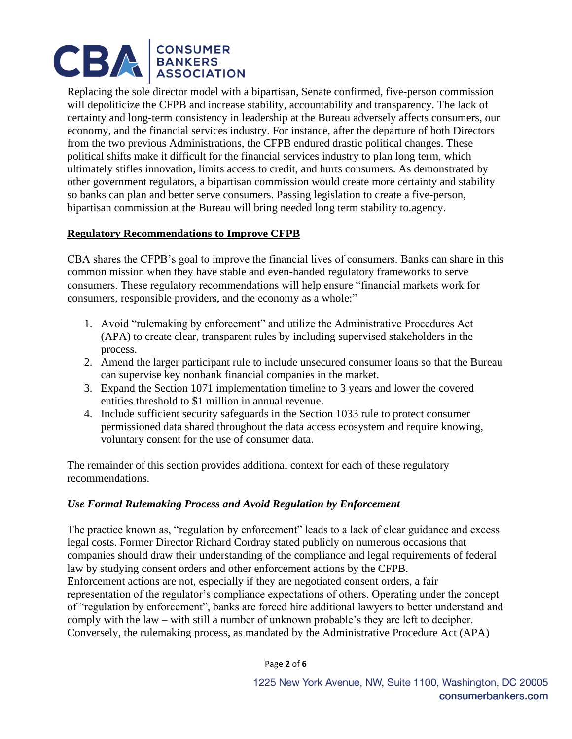

Replacing the sole director model with a bipartisan, Senate confirmed, five-person commission will depoliticize the CFPB and increase stability, accountability and transparency. The lack of certainty and long-term consistency in leadership at the Bureau adversely affects consumers, our economy, and the financial services industry. For instance, after the departure of both Directors from the two previous Administrations, the CFPB endured drastic political changes. These political shifts make it difficult for the financial services industry to plan long term, which ultimately stifles innovation, limits access to credit, and hurts consumers. As demonstrated by other government regulators, a bipartisan commission would create more certainty and stability so banks can plan and better serve consumers. Passing legislation to create a five-person, bipartisan commission at the Bureau will bring needed long term stability to.agency.

# **Regulatory Recommendations to Improve CFPB**

CBA shares the CFPB's goal to improve the financial lives of consumers. Banks can share in this common mission when they have stable and even-handed regulatory frameworks to serve consumers. These regulatory recommendations will help ensure "financial markets work for consumers, responsible providers, and the economy as a whole:"

- 1. Avoid "rulemaking by enforcement" and utilize the Administrative Procedures Act (APA) to create clear, transparent rules by including supervised stakeholders in the process.
- 2. Amend the larger participant rule to include unsecured consumer loans so that the Bureau can supervise key nonbank financial companies in the market.
- 3. Expand the Section 1071 implementation timeline to 3 years and lower the covered entities threshold to \$1 million in annual revenue.
- 4. Include sufficient security safeguards in the Section 1033 rule to protect consumer permissioned data shared throughout the data access ecosystem and require knowing, voluntary consent for the use of consumer data.

The remainder of this section provides additional context for each of these regulatory recommendations.

### *Use Formal Rulemaking Process and Avoid Regulation by Enforcement*

The practice known as, "regulation by enforcement" leads to a lack of clear guidance and excess legal costs. Former Director Richard Cordray stated publicly on numerous occasions that companies should draw their understanding of the compliance and legal requirements of federal law by studying consent orders and other enforcement actions by the CFPB. Enforcement actions are not, especially if they are negotiated consent orders, a fair representation of the regulator's compliance expectations of others. Operating under the concept of "regulation by enforcement", banks are forced hire additional lawyers to better understand and comply with the law – with still a number of unknown probable's they are left to decipher. Conversely, the rulemaking process, as mandated by the Administrative Procedure Act (APA)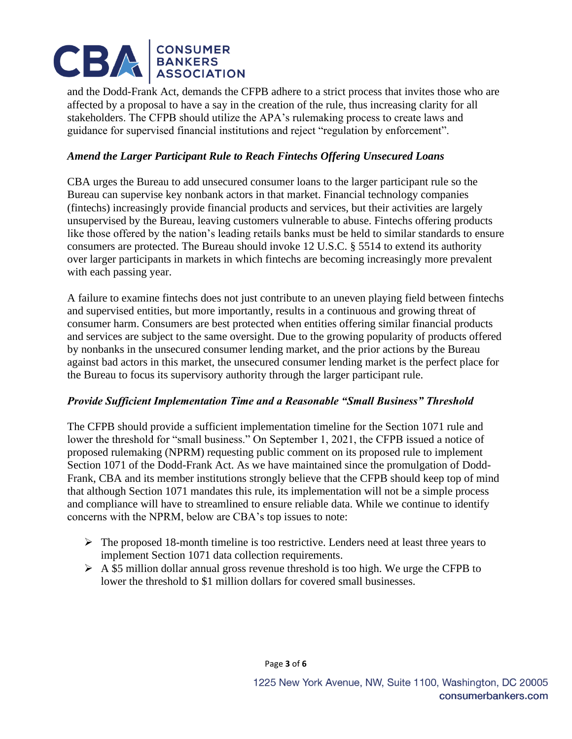# CBA | CONSUMER<br>| BANKERS

and the Dodd-Frank Act, demands the CFPB adhere to a strict process that invites those who are affected by a proposal to have a say in the creation of the rule, thus increasing clarity for all stakeholders. The CFPB should utilize the APA's rulemaking process to create laws and guidance for supervised financial institutions and reject "regulation by enforcement".

# *Amend the Larger Participant Rule to Reach Fintechs Offering Unsecured Loans*

CBA urges the Bureau to add unsecured consumer loans to the larger participant rule so the Bureau can supervise key nonbank actors in that market. Financial technology companies (fintechs) increasingly provide financial products and services, but their activities are largely unsupervised by the Bureau, leaving customers vulnerable to abuse. Fintechs offering products like those offered by the nation's leading retails banks must be held to similar standards to ensure consumers are protected. The Bureau should invoke 12 U.S.C. § 5514 to extend its authority over larger participants in markets in which fintechs are becoming increasingly more prevalent with each passing year.

A failure to examine fintechs does not just contribute to an uneven playing field between fintechs and supervised entities, but more importantly, results in a continuous and growing threat of consumer harm. Consumers are best protected when entities offering similar financial products and services are subject to the same oversight. Due to the growing popularity of products offered by nonbanks in the unsecured consumer lending market, and the prior actions by the Bureau against bad actors in this market, the unsecured consumer lending market is the perfect place for the Bureau to focus its supervisory authority through the larger participant rule.

# *Provide Sufficient Implementation Time and a Reasonable "Small Business" Threshold*

The CFPB should provide a sufficient implementation timeline for the Section 1071 rule and lower the threshold for "small business." On September 1, 2021, the CFPB issued a notice of proposed rulemaking (NPRM) requesting public comment on its proposed rule to implement Section 1071 of the Dodd-Frank Act. As we have maintained since the promulgation of Dodd-Frank, CBA and its member institutions strongly believe that the CFPB should keep top of mind that although Section 1071 mandates this rule, its implementation will not be a simple process and compliance will have to streamlined to ensure reliable data. While we continue to identify concerns with the NPRM, below are CBA's top issues to note:

- $\triangleright$  The proposed 18-month timeline is too restrictive. Lenders need at least three years to implement Section 1071 data collection requirements.
- $\triangleright$  A \$5 million dollar annual gross revenue threshold is too high. We urge the CFPB to lower the threshold to \$1 million dollars for covered small businesses.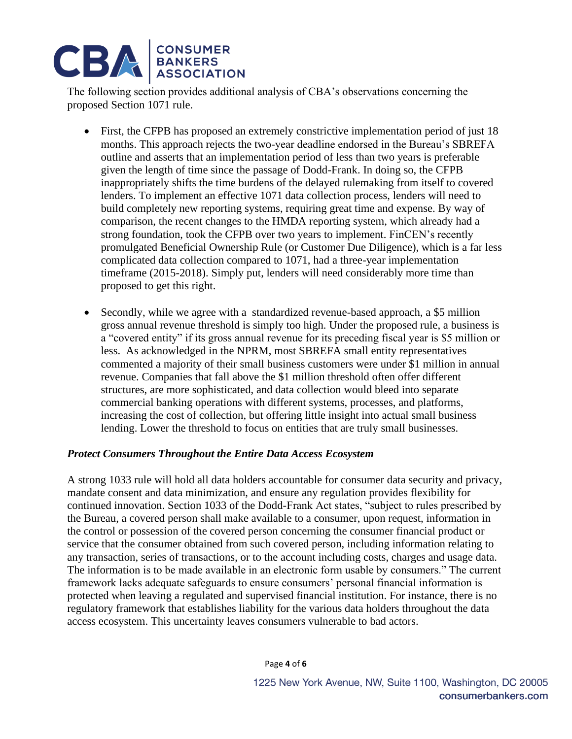# **CBA** BANKERS

The following section provides additional analysis of CBA's observations concerning the proposed Section 1071 rule.

- First, the CFPB has proposed an extremely constrictive implementation period of just 18 months. This approach rejects the two-year deadline endorsed in the Bureau's SBREFA outline and asserts that an implementation period of less than two years is preferable given the length of time since the passage of Dodd-Frank. In doing so, the CFPB inappropriately shifts the time burdens of the delayed rulemaking from itself to covered lenders. To implement an effective 1071 data collection process, lenders will need to build completely new reporting systems, requiring great time and expense. By way of comparison, the recent changes to the HMDA reporting system, which already had a strong foundation, took the CFPB over two years to implement. FinCEN's recently promulgated Beneficial Ownership Rule (or Customer Due Diligence), which is a far less complicated data collection compared to 1071, had a three-year implementation timeframe (2015-2018). Simply put, lenders will need considerably more time than proposed to get this right.
- Secondly, while we agree with a standardized revenue-based approach, a \$5 million gross annual revenue threshold is simply too high. Under the proposed rule, a business is a "covered entity" if its gross annual revenue for its preceding fiscal year is \$5 million or less. As acknowledged in the NPRM, most SBREFA small entity representatives commented a majority of their small business customers were under \$1 million in annual revenue. Companies that fall above the \$1 million threshold often offer different structures, are more sophisticated, and data collection would bleed into separate commercial banking operations with different systems, processes, and platforms, increasing the cost of collection, but offering little insight into actual small business lending. Lower the threshold to focus on entities that are truly small businesses.

# *Protect Consumers Throughout the Entire Data Access Ecosystem*

A strong 1033 rule will hold all data holders accountable for consumer data security and privacy, mandate consent and data minimization, and ensure any regulation provides flexibility for continued innovation. Section 1033 of the Dodd-Frank Act states, "subject to rules prescribed by the Bureau, a covered person shall make available to a consumer, upon request, information in the control or possession of the covered person concerning the consumer financial product or service that the consumer obtained from such covered person, including information relating to any transaction, series of transactions, or to the account including costs, charges and usage data. The information is to be made available in an electronic form usable by consumers." The current framework lacks adequate safeguards to ensure consumers' personal financial information is protected when leaving a regulated and supervised financial institution. For instance, there is no regulatory framework that establishes liability for the various data holders throughout the data access ecosystem. This uncertainty leaves consumers vulnerable to bad actors.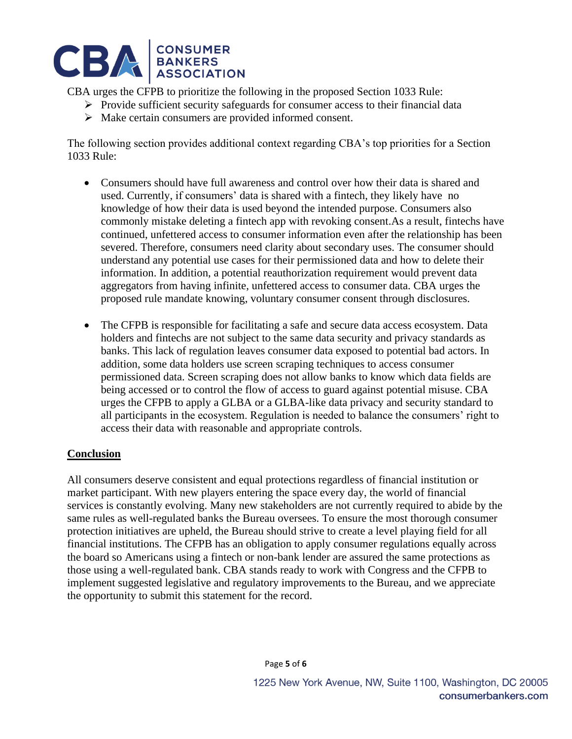

CBA urges the CFPB to prioritize the following in the proposed Section 1033 Rule:

- ➢ Provide sufficient security safeguards for consumer access to their financial data
- ➢ Make certain consumers are provided informed consent.

The following section provides additional context regarding CBA's top priorities for a Section 1033 Rule:

- Consumers should have full awareness and control over how their data is shared and used. Currently, if consumers' data is shared with a fintech, they likely have no knowledge of how their data is used beyond the intended purpose. Consumers also commonly mistake deleting a fintech app with revoking consent.As a result, fintechs have continued, unfettered access to consumer information even after the relationship has been severed. Therefore, consumers need clarity about secondary uses. The consumer should understand any potential use cases for their permissioned data and how to delete their information. In addition, a potential reauthorization requirement would prevent data aggregators from having infinite, unfettered access to consumer data. CBA urges the proposed rule mandate knowing, voluntary consumer consent through disclosures.
- The CFPB is responsible for facilitating a safe and secure data access ecosystem. Data holders and fintechs are not subject to the same data security and privacy standards as banks. This lack of regulation leaves consumer data exposed to potential bad actors. In addition, some data holders use screen scraping techniques to access consumer permissioned data. Screen scraping does not allow banks to know which data fields are being accessed or to control the flow of access to guard against potential misuse. CBA urges the CFPB to apply a GLBA or a GLBA-like data privacy and security standard to all participants in the ecosystem. Regulation is needed to balance the consumers' right to access their data with reasonable and appropriate controls.

# **Conclusion**

All consumers deserve consistent and equal protections regardless of financial institution or market participant. With new players entering the space every day, the world of financial services is constantly evolving. Many new stakeholders are not currently required to abide by the same rules as well-regulated banks the Bureau oversees. To ensure the most thorough consumer protection initiatives are upheld, the Bureau should strive to create a level playing field for all financial institutions. The CFPB has an obligation to apply consumer regulations equally across the board so Americans using a fintech or non-bank lender are assured the same protections as those using a well-regulated bank. CBA stands ready to work with Congress and the CFPB to implement suggested legislative and regulatory improvements to the Bureau, and we appreciate the opportunity to submit this statement for the record.